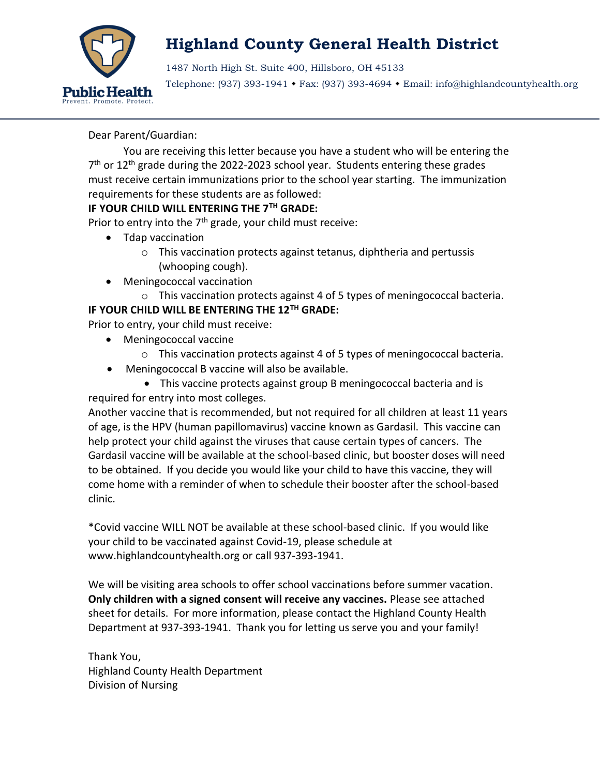

1487 North High St. Suite 400, Hillsboro, OH 45133

Telephone: (937) 393-1941 Fax: (937) 393-4694 Email: info@highlandcountyhealth.org

Dear Parent/Guardian:

You are receiving this letter because you have a student who will be entering the 7<sup>th</sup> or 12<sup>th</sup> grade during the 2022-2023 school year. Students entering these grades must receive certain immunizations prior to the school year starting. The immunization requirements for these students are as followed:

### **IF YOUR CHILD WILL ENTERING THE 7TH GRADE:**

Prior to entry into the 7<sup>th</sup> grade, your child must receive:

- Tdap vaccination
	- o This vaccination protects against tetanus, diphtheria and pertussis (whooping cough).
- Meningococcal vaccination

o This vaccination protects against 4 of 5 types of meningococcal bacteria. **IF YOUR CHILD WILL BE ENTERING THE 12TH GRADE:**

Prior to entry, your child must receive:

- Meningococcal vaccine
	- o This vaccination protects against 4 of 5 types of meningococcal bacteria.
- Meningococcal B vaccine will also be available.
- This vaccine protects against group B meningococcal bacteria and is required for entry into most colleges.

Another vaccine that is recommended, but not required for all children at least 11 years of age, is the HPV (human papillomavirus) vaccine known as Gardasil. This vaccine can help protect your child against the viruses that cause certain types of cancers. The Gardasil vaccine will be available at the school-based clinic, but booster doses will need to be obtained. If you decide you would like your child to have this vaccine, they will come home with a reminder of when to schedule their booster after the school-based clinic.

\*Covid vaccine WILL NOT be available at these school-based clinic. If you would like your child to be vaccinated against Covid-19, please schedule at www.highlandcountyhealth.org or call 937-393-1941.

We will be visiting area schools to offer school vaccinations before summer vacation. **Only children with a signed consent will receive any vaccines.** Please see attached sheet for details. For more information, please contact the Highland County Health Department at 937-393-1941. Thank you for letting us serve you and your family!

Thank You, Highland County Health Department Division of Nursing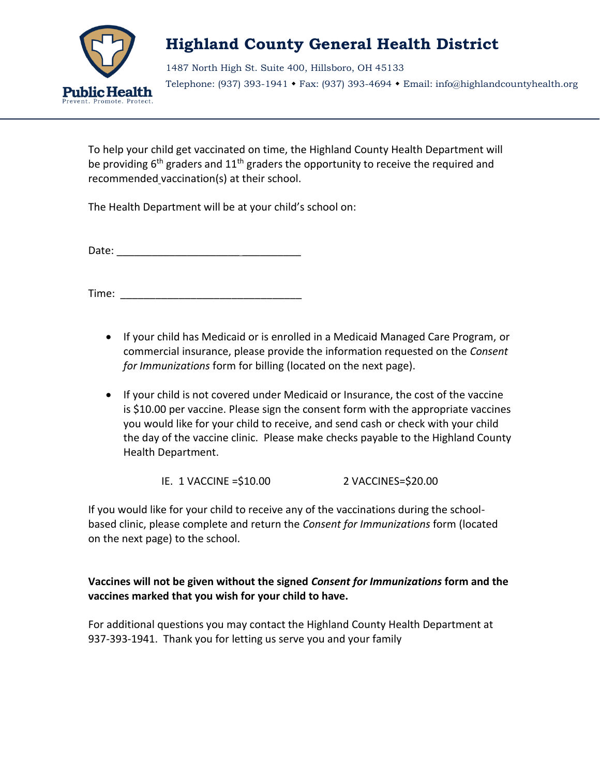

1487 North High St. Suite 400, Hillsboro, OH 45133 Telephone: (937) 393-1941 Fax: (937) 393-4694 Email: info@highlandcountyhealth.org

To help your child get vaccinated on time, the Highland County Health Department will be providing  $6<sup>th</sup>$  graders and  $11<sup>th</sup>$  graders the opportunity to receive the required and recommended vaccination(s) at their school.

The Health Department will be at your child's school on:

Date: \_\_\_\_\_\_\_\_\_\_\_\_\_\_\_\_\_\_\_\_\_ \_\_\_\_\_\_\_\_\_\_

Time: \_\_\_\_\_\_\_\_\_\_\_\_\_\_\_\_\_\_\_\_\_\_\_\_\_\_\_\_\_\_\_

- If your child has Medicaid or is enrolled in a Medicaid Managed Care Program, or commercial insurance, please provide the information requested on the *Consent for Immunizations* form for billing (located on the next page).
- If your child is not covered under Medicaid or Insurance, the cost of the vaccine is \$10.00 per vaccine. Please sign the consent form with the appropriate vaccines you would like for your child to receive, and send cash or check with your child the day of the vaccine clinic. Please make checks payable to the Highland County Health Department.

IE. 1 VACCINE =\$10.00 2 VACCINES=\$20.00

If you would like for your child to receive any of the vaccinations during the schoolbased clinic, please complete and return the *Consent for Immunizations* form (located on the next page) to the school.

### **Vaccines will not be given without the signed** *Consent for Immunizations* **form and the vaccines marked that you wish for your child to have.**

For additional questions you may contact the Highland County Health Department at 937-393-1941. Thank you for letting us serve you and your family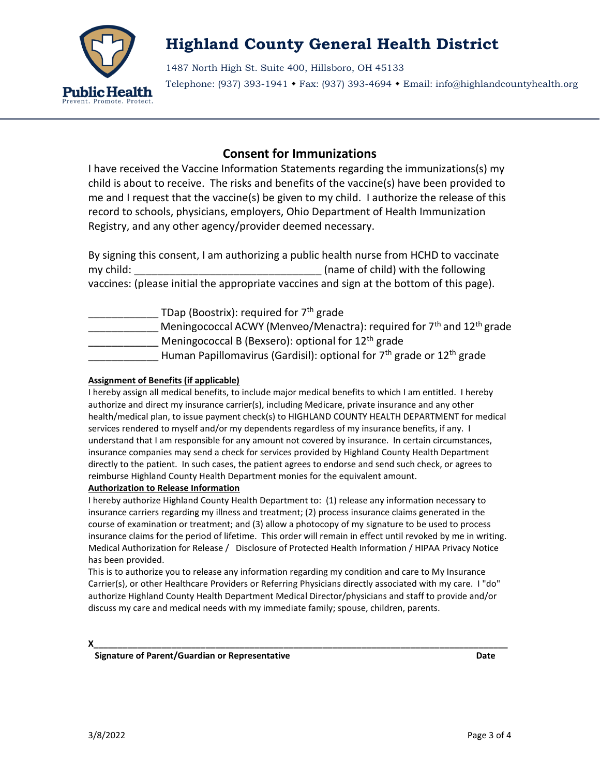

1487 North High St. Suite 400, Hillsboro, OH 45133 Telephone: (937) 393-1941 Fax: (937) 393-4694 Email: info@highlandcountyhealth.org

### **Consent for Immunizations**

I have received the Vaccine Information Statements regarding the immunizations(s) my child is about to receive. The risks and benefits of the vaccine(s) have been provided to me and I request that the vaccine(s) be given to my child. I authorize the release of this record to schools, physicians, employers, Ohio Department of Health Immunization Registry, and any other agency/provider deemed necessary.

By signing this consent, I am authorizing a public health nurse from HCHD to vaccinate my child: \_\_\_\_\_\_\_\_\_\_\_\_\_\_\_\_\_\_\_\_\_\_\_\_\_\_\_\_\_\_\_\_ (name of child) with the following vaccines: (please initial the appropriate vaccines and sign at the bottom of this page).

TDap (Boostrix): required for  $7<sup>th</sup>$  grade Meningococcal ACWY (Menveo/Menactra): required for  $7<sup>th</sup>$  and  $12<sup>th</sup>$  grade Meningococcal B (Bexsero): optional for  $12<sup>th</sup>$  grade Human Papillomavirus (Gardisil): optional for 7<sup>th</sup> grade or 12<sup>th</sup> grade

#### **Assignment of Benefits (if applicable)**

I hereby assign all medical benefits, to include major medical benefits to which I am entitled. I hereby authorize and direct my insurance carrier(s), including Medicare, private insurance and any other health/medical plan, to issue payment check(s) to HIGHLAND COUNTY HEALTH DEPARTMENT for medical services rendered to myself and/or my dependents regardless of my insurance benefits, if any. I understand that I am responsible for any amount not covered by insurance. In certain circumstances, insurance companies may send a check for services provided by Highland County Health Department directly to the patient. In such cases, the patient agrees to endorse and send such check, or agrees to reimburse Highland County Health Department monies for the equivalent amount.

#### **Authorization to Release Information**

I hereby authorize Highland County Health Department to: (1) release any information necessary to insurance carriers regarding my illness and treatment; (2) process insurance claims generated in the course of examination or treatment; and (3) allow a photocopy of my signature to be used to process insurance claims for the period of lifetime. This order will remain in effect until revoked by me in writing. Medical Authorization for Release / Disclosure of Protected Health Information / HIPAA Privacy Notice has been provided.

This is to authorize you to release any information regarding my condition and care to My Insurance Carrier(s), or other Healthcare Providers or Referring Physicians directly associated with my care. I "do" authorize Highland County Health Department Medical Director/physicians and staff to provide and/or discuss my care and medical needs with my immediate family; spouse, children, parents.

**X\_\_\_\_\_\_\_\_\_\_\_\_\_\_\_\_\_\_\_\_\_\_\_\_\_\_\_\_\_\_\_\_\_\_\_\_\_\_\_\_\_\_\_\_\_\_\_\_\_\_\_\_\_\_\_\_\_\_\_\_\_\_\_\_\_\_\_\_\_\_\_\_\_\_\_\_\_\_\_\_\_\_\_\_\_**

 **Signature of Parent/Guardian or Representative Date**